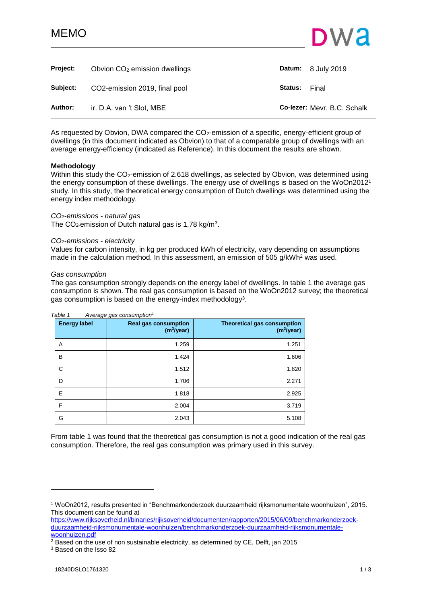# MEMO



<span id="page-0-0"></span>

| <b>Project:</b> | Obvion $CO2$ emission dwellings |                | <b>Datum:</b> 8 July 2019   |
|-----------------|---------------------------------|----------------|-----------------------------|
| Subject:        | CO2-emission 2019, final pool   | <b>Status:</b> | Final                       |
| Author:         | ir. D.A. van 't Slot, MBE       |                | Co-lezer: Mevr. B.C. Schalk |

As requested by Obvion, DWA compared the CO<sub>2</sub>-emission of a specific, energy-efficient group of dwellings (in this document indicated as Obvion) to that of a comparable group of dwellings with an average energy-efficiency (indicated as Reference). In this document the results are shown.

# **Methodology**

Within this study the CO<sub>2</sub>-emission of 2.618 dwellings, as selected by Obvion, was determined using the energy consumption of these dwellings. The energy use of dwellings is based on the WoOn2012<sup>1</sup> study. In this study, the theoretical energy consumption of Dutch dwellings was determined using the energy index methodology.

# *CO2-emissions - natural gas*

The CO<sub>2</sub>-emission of Dutch natural gas is 1,78 kg/m<sup>3</sup>.

### *CO2-emissions - electricity*

Values for carbon intensity, in kg per produced kWh of electricity, vary depending on assumptions made in the calculation method. In this assessment, an emission of 505 g/kWh<sup>2</sup> was used.

### *Gas consumption*

The gas consumption strongly depends on the energy label of dwellings. In table 1 the average gas consumption is shown. The real gas consumption is based on the WoOn2012 survey; the theoretical gas consumption is based on the energy-index methodology<sup>3</sup>.

| <b>Energy label</b> | $1.1.01$ and generate the set of $1.00$<br><b>Real gas consumption</b><br>(m <sup>3</sup> /year) | <b>Theoretical gas consumption</b><br>(m <sup>3</sup> /year) |
|---------------------|--------------------------------------------------------------------------------------------------|--------------------------------------------------------------|
| A                   | 1.259                                                                                            | 1.251                                                        |
| B                   | 1.424                                                                                            | 1.606                                                        |
| C                   | 1.512                                                                                            | 1.820                                                        |
| D                   | 1.706                                                                                            | 2.271                                                        |
| Е                   | 1.818                                                                                            | 2.925                                                        |
| F                   | 2.004                                                                                            | 3.719                                                        |
| G                   | 2.043                                                                                            | 5.108                                                        |

### *Table 1 Average gas consumption<sup>1</sup>*

From table 1 was found that the theoretical gas consumption is not a good indication of the real gas consumption. Therefore, the real gas consumption was primary used in this survey.

[https://www.rijksoverheid.nl/binaries/rijksoverheid/documenten/rapporten/2015/06/09/benchmarkonderzoek](https://www.rijksoverheid.nl/binaries/rijksoverheid/documenten/rapporten/2015/06/09/benchmarkonderzoek-duurzaamheid-rijksmonumentale-woonhuizen/benchmarkonderzoek-duurzaamheid-rijksmonumentale-woonhuizen.pdf)[duurzaamheid-rijksmonumentale-woonhuizen/benchmarkonderzoek-duurzaamheid-rijksmonumentale](https://www.rijksoverheid.nl/binaries/rijksoverheid/documenten/rapporten/2015/06/09/benchmarkonderzoek-duurzaamheid-rijksmonumentale-woonhuizen/benchmarkonderzoek-duurzaamheid-rijksmonumentale-woonhuizen.pdf)[woonhuizen.pdf](https://www.rijksoverheid.nl/binaries/rijksoverheid/documenten/rapporten/2015/06/09/benchmarkonderzoek-duurzaamheid-rijksmonumentale-woonhuizen/benchmarkonderzoek-duurzaamheid-rijksmonumentale-woonhuizen.pdf)

 $2$  Based on the use of non sustainable electricity, as determined by CE, Delft, jan 2015

<sup>3</sup> Based on the Isso 82

l

<sup>1</sup> WoOn2012, results presented in "Benchmarkonderzoek duurzaamheid rijksmonumentale woonhuizen", 2015. This document can be found at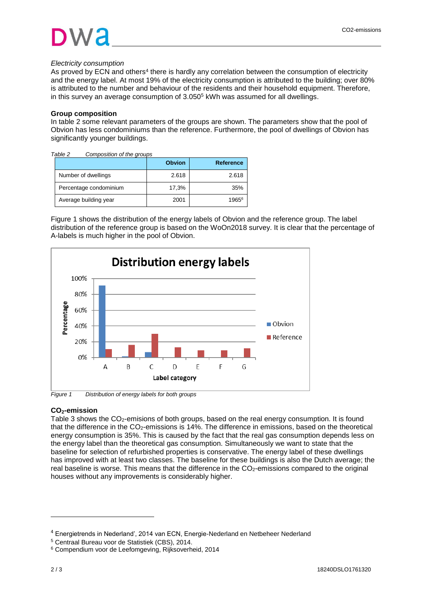# *Electricity consumption*

As proved by ECN and others<sup>4</sup> there is hardly any correlation between the consumption of electricity and the energy label. At most 19% of the electricity consumption is attributed to the building; over 80% is attributed to the number and behaviour of the residents and their household equipment. Therefore, in this survey an average consumption of 3.050<sup>5</sup> kWh was assumed for all dwellings.

# **Group composition**

In table 2 some relevant parameters of the groups are shown. The parameters show that the pool of Obvion has less condominiums than the reference. Furthermore, the pool of dwellings of Obvion has significantly younger buildings.

| Table 2 | Composition of the groups |               |                   |
|---------|---------------------------|---------------|-------------------|
|         |                           | <b>Obvion</b> | <b>Reference</b>  |
|         | Number of dwellings       | 2.618         | 2.618             |
|         | Percentage condominium    | 17,3%         | 35%               |
|         | Average building year     | 2001          | 1965 <sup>6</sup> |

Figure 1 shows the distribution of the energy labels of Obvion and the reference group. The label distribution of the reference group is based on the WoOn2018 survey. It is clear that the percentage of A-labels is much higher in the pool of Obvion.



*Figure 1 Distribution of energy labels for both groups*

# **CO2-emission**

Table 3 shows the CO<sub>2</sub>-emisions of both groups, based on the real energy consumption. It is found that the difference in the  $CO<sub>2</sub>$ -emissions is 14%. The difference in emissions, based on the theoretical energy consumption is 35%. This is caused by the fact that the real gas consumption depends less on the energy label than the theoretical gas consumption. Simultaneously we want to state that the baseline for selection of refurbished properties is conservative. The energy label of these dwellings has improved with at least two classes. The baseline for these buildings is also the Dutch average; the real baseline is worse. This means that the difference in the CO<sub>2</sub>-emissions compared to the original houses without any improvements is considerably higher.

l

<sup>4</sup> Energietrends in Nederland', 2014 van ECN, Energie-Nederland en Netbeheer Nederland

<sup>5</sup> Centraal Bureau voor de Statistiek (CBS), 2014.

<sup>6</sup> Compendium voor de Leefomgeving, Rijksoverheid, 2014